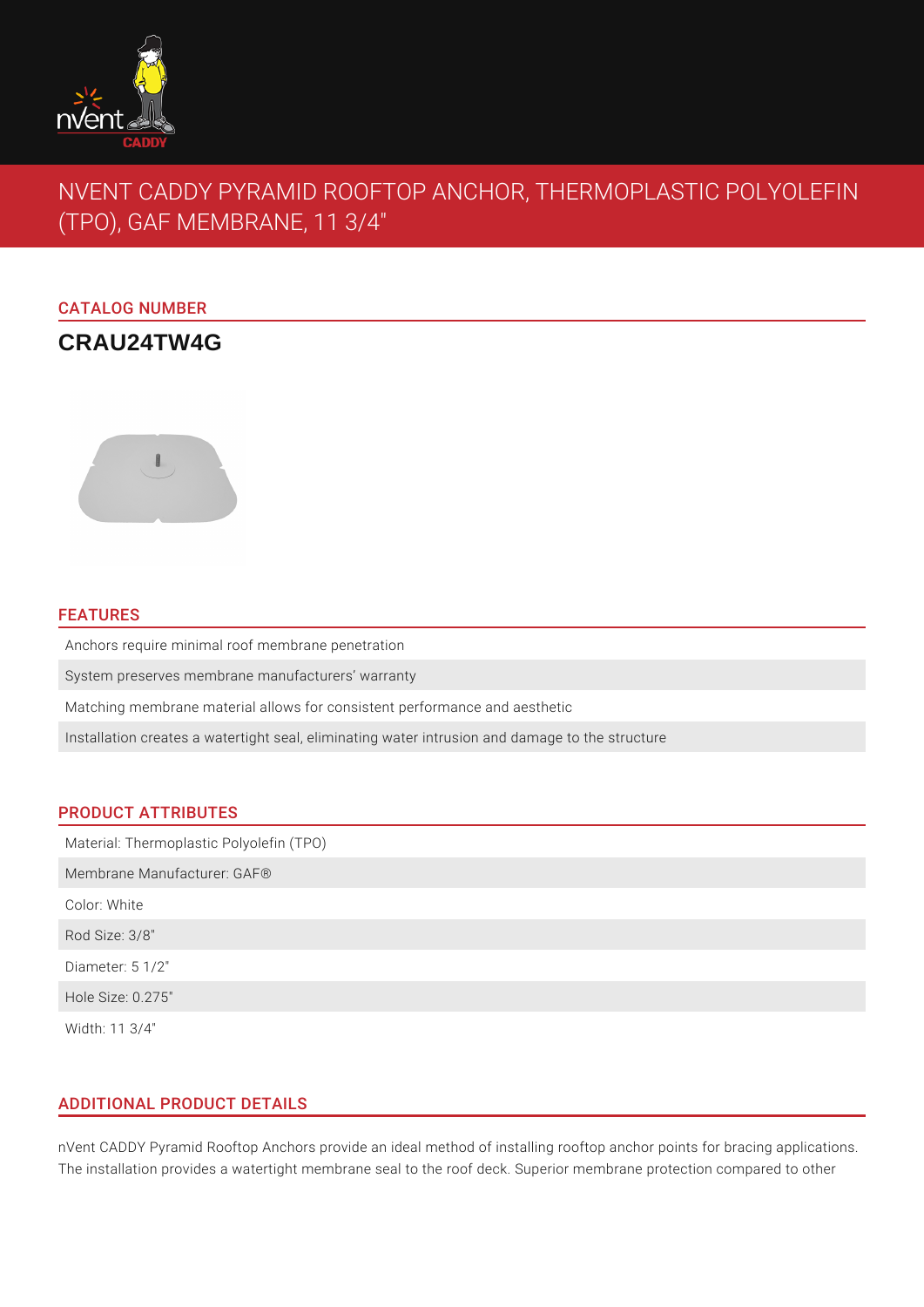

# NVENT CADDY PYRAMID ROOFTOP ANCHOR, THERMOPLASTIC POLYOLEFIN (TPO), GAF MEMBRANE, 11 3/4"

### CATALOG NUMBER

## **CRAU24TW4G**



#### FEATURES

Anchors require minimal roof membrane penetration

System preserves membrane manufacturers' warranty

Matching membrane material allows for consistent performance and aesthetic

Installation creates a watertight seal, eliminating water intrusion and damage to the structure

#### PRODUCT ATTRIBUTES

Material: Thermoplastic Polyolefin (TPO) Membrane Manufacturer: GAF® Color: White Rod Size: 3/8" Diameter: 5 1/2" Hole Size: 0.275" Width: 11 3/4"

#### ADDITIONAL PRODUCT DETAILS

nVent CADDY Pyramid Rooftop Anchors provide an ideal method of installing rooftop anchor points for bracing applications. The installation provides a watertight membrane seal to the roof deck. Superior membrane protection compared to other